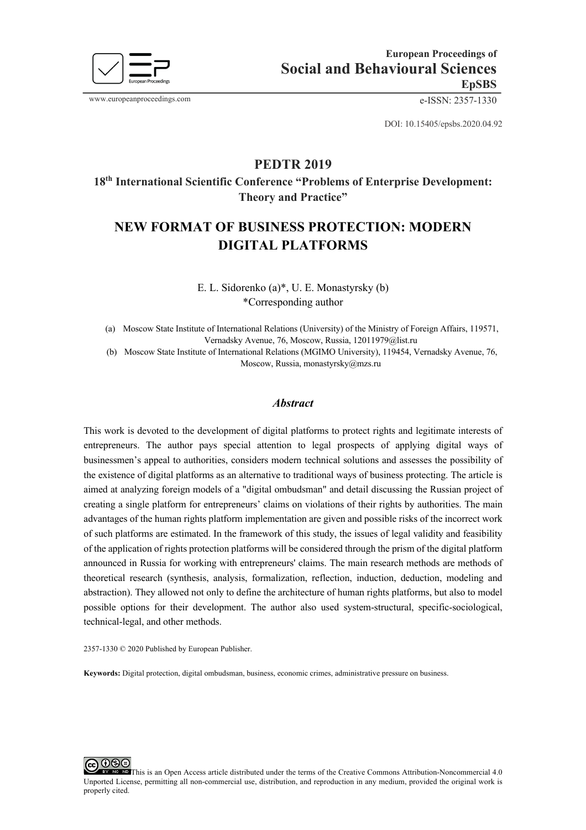

www.europeanproceedings.com e-ISSN: 2357-1330

DOI: 10.15405/epsbs.2020.04.92

# **PEDTR 2019**

**18th International Scientific Conference "Problems of Enterprise Development: Theory and Practice"** 

# **NEW FORMAT OF BUSINESS PROTECTION: MODERN DIGITAL PLATFORMS**

E. L. Sidorenko (a)\*, U. E. Monastyrsky (b) \*Corresponding author

(a) Moscow State Institute of International Relations (University) of the Ministry of Foreign Affairs, 119571, Vernadsky Avenue, 76, Moscow, Russia, 12011979@list.ru

(b) Moscow State Institute of International Relations (MGIMO University), 119454, Vernadsky Avenue, 76, Moscow, Russia, monastyrsky@mzs.ru

#### *Abstract*

This work is devoted to the development of digital platforms to protect rights and legitimate interests of entrepreneurs. The author pays special attention to legal prospects of applying digital ways of businessmen's appeal to authorities, considers modern technical solutions and assesses the possibility of the existence of digital platforms as an alternative to traditional ways of business protecting. The article is aimed at analyzing foreign models of a "digital ombudsman" and detail discussing the Russian project of creating a single platform for entrepreneurs' claims on violations of their rights by authorities. The main advantages of the human rights platform implementation are given and possible risks of the incorrect work of such platforms are estimated. In the framework of this study, the issues of legal validity and feasibility of the application of rights protection platforms will be considered through the prism of the digital platform announced in Russia for working with entrepreneurs' claims. The main research methods are methods of theoretical research (synthesis, analysis, formalization, reflection, induction, deduction, modeling and abstraction). They allowed not only to define the architecture of human rights platforms, but also to model possible options for their development. The author also used system-structural, specific-sociological, technical-legal, and other methods.

2357-1330 © 2020 Published by European Publisher.

**Keywords:** Digital protection, digital ombudsman, business, economic crimes, administrative pressure on business.

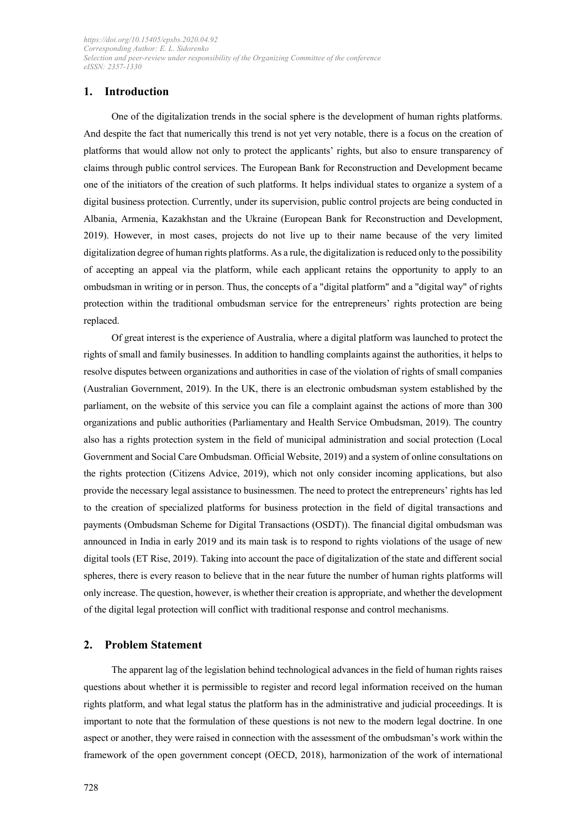# **1. Introduction**

One of the digitalization trends in the social sphere is the development of human rights platforms. And despite the fact that numerically this trend is not yet very notable, there is a focus on the creation of platforms that would allow not only to protect the applicants' rights, but also to ensure transparency of claims through public control services. The European Bank for Reconstruction and Development became one of the initiators of the creation of such platforms. It helps individual states to organize a system of a digital business protection. Currently, under its supervision, public control projects are being conducted in Albania, Armenia, Kazakhstan and the Ukraine (European Bank for Reconstruction and Development, 2019). However, in most cases, projects do not live up to their name because of the very limited digitalization degree of human rights platforms. As a rule, the digitalization is reduced only to the possibility of accepting an appeal via the platform, while each applicant retains the opportunity to apply to an ombudsman in writing or in person. Thus, the concepts of a "digital platform" and a "digital way" of rights protection within the traditional ombudsman service for the entrepreneurs' rights protection are being replaced.

Of great interest is the experience of Australia, where a digital platform was launched to protect the rights of small and family businesses. In addition to handling complaints against the authorities, it helps to resolve disputes between organizations and authorities in case of the violation of rights of small companies (Australian Government, 2019). In the UK, there is an electronic ombudsman system established by the parliament, on the website of this service you can file a complaint against the actions of more than 300 organizations and public authorities (Parliamentary and Health Service Ombudsman, 2019). The country also has a rights protection system in the field of municipal administration and social protection (Local Government and Social Care Ombudsman. Official Website, 2019) and a system of online consultations on the rights protection (Citizens Advice, 2019), which not only consider incoming applications, but also provide the necessary legal assistance to businessmen. The need to protect the entrepreneurs' rights has led to the creation of specialized platforms for business protection in the field of digital transactions and payments (Ombudsman Scheme for Digital Transactions (OSDT)). The financial digital ombudsman was announced in India in early 2019 and its main task is to respond to rights violations of the usage of new digital tools (ET Rise, 2019). Taking into account the pace of digitalization of the state and different social spheres, there is every reason to believe that in the near future the number of human rights platforms will only increase. The question, however, is whether their creation is appropriate, and whether the development of the digital legal protection will conflict with traditional response and control mechanisms.

## **2. Problem Statement**

The apparent lag of the legislation behind technological advances in the field of human rights raises questions about whether it is permissible to register and record legal information received on the human rights platform, and what legal status the platform has in the administrative and judicial proceedings. It is important to note that the formulation of these questions is not new to the modern legal doctrine. In one aspect or another, they were raised in connection with the assessment of the ombudsman's work within the framework of the open government concept (OECD, 2018), harmonization of the work of international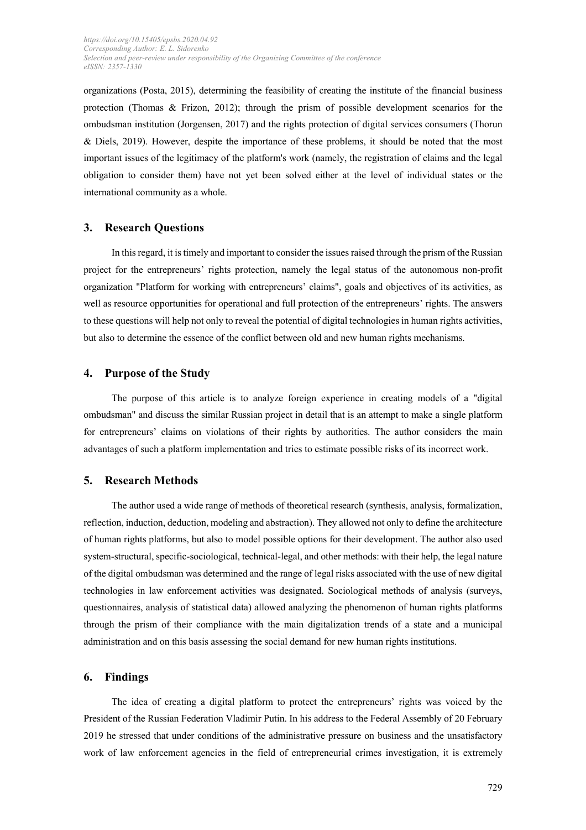organizations (Posta, 2015), determining the feasibility of creating the institute of the financial business protection (Thomas  $\&$  Frizon, 2012); through the prism of possible development scenarios for the ombudsman institution (Jorgensen, 2017) and the rights protection of digital services consumers (Thorun & Diels, 2019). However, despite the importance of these problems, it should be noted that the most important issues of the legitimacy of the platform's work (namely, the registration of claims and the legal obligation to consider them) have not yet been solved either at the level of individual states or the international community as a whole.

### **3. Research Questions**

In this regard, it is timely and important to consider the issues raised through the prism of the Russian project for the entrepreneurs' rights protection, namely the legal status of the autonomous non-profit organization "Platform for working with entrepreneurs' claims", goals and objectives of its activities, as well as resource opportunities for operational and full protection of the entrepreneurs' rights. The answers to these questions will help not only to reveal the potential of digital technologies in human rights activities, but also to determine the essence of the conflict between old and new human rights mechanisms.

#### **4. Purpose of the Study**

The purpose of this article is to analyze foreign experience in creating models of a "digital ombudsman" and discuss the similar Russian project in detail that is an attempt to make a single platform for entrepreneurs' claims on violations of their rights by authorities. The author considers the main advantages of such a platform implementation and tries to estimate possible risks of its incorrect work.

## **5. Research Methods**

The author used a wide range of methods of theoretical research (synthesis, analysis, formalization, reflection, induction, deduction, modeling and abstraction). They allowed not only to define the architecture of human rights platforms, but also to model possible options for their development. The author also used system-structural, specific-sociological, technical-legal, and other methods: with their help, the legal nature of the digital ombudsman was determined and the range of legal risks associated with the use of new digital technologies in law enforcement activities was designated. Sociological methods of analysis (surveys, questionnaires, analysis of statistical data) allowed analyzing the phenomenon of human rights platforms through the prism of their compliance with the main digitalization trends of a state and a municipal administration and on this basis assessing the social demand for new human rights institutions.

### **6. Findings**

The idea of creating a digital platform to protect the entrepreneurs' rights was voiced by the President of the Russian Federation Vladimir Putin. In his address to the Federal Assembly of 20 February 2019 he stressed that under conditions of the administrative pressure on business and the unsatisfactory work of law enforcement agencies in the field of entrepreneurial crimes investigation, it is extremely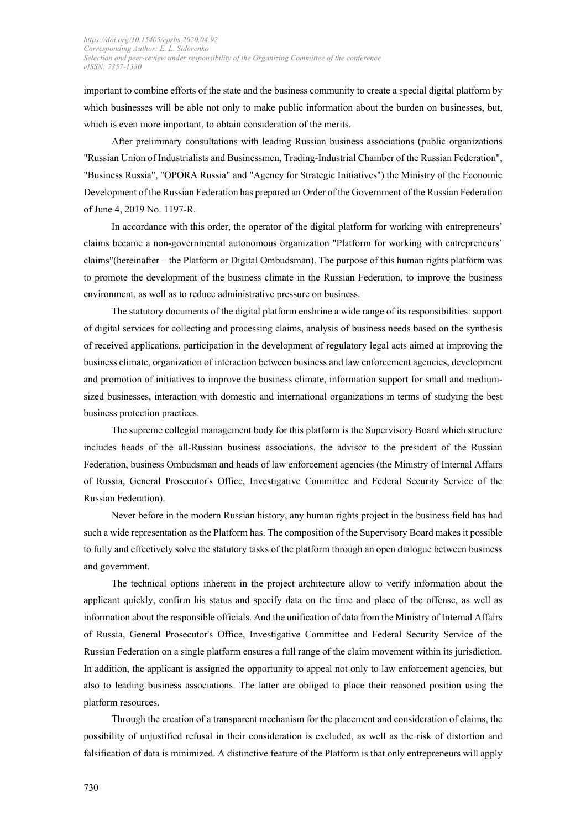important to combine efforts of the state and the business community to create a special digital platform by which businesses will be able not only to make public information about the burden on businesses, but, which is even more important, to obtain consideration of the merits.

After preliminary consultations with leading Russian business associations (public organizations "Russian Union of Industrialists and Businessmen, Trading-Industrial Chamber of the Russian Federation", "Business Russia", "OPORA Russia" and "Agency for Strategic Initiatives") the Ministry of the Economic Development of the Russian Federation has prepared an Order of the Government of the Russian Federation of June 4, 2019 No. 1197-R.

In accordance with this order, the operator of the digital platform for working with entrepreneurs' claims became a non-governmental autonomous organization "Platform for working with entrepreneurs' claims"(hereinafter – the Platform or Digital Ombudsman). The purpose of this human rights platform was to promote the development of the business climate in the Russian Federation, to improve the business environment, as well as to reduce administrative pressure on business.

The statutory documents of the digital platform enshrine a wide range of its responsibilities: support of digital services for collecting and processing claims, analysis of business needs based on the synthesis of received applications, participation in the development of regulatory legal acts aimed at improving the business climate, organization of interaction between business and law enforcement agencies, development and promotion of initiatives to improve the business climate, information support for small and mediumsized businesses, interaction with domestic and international organizations in terms of studying the best business protection practices.

The supreme collegial management body for this platform is the Supervisory Board which structure includes heads of the all-Russian business associations, the advisor to the president of the Russian Federation, business Ombudsman and heads of law enforcement agencies (the Ministry of Internal Affairs of Russia, General Prosecutor's Office, Investigative Committee and Federal Security Service of the Russian Federation).

Never before in the modern Russian history, any human rights project in the business field has had such a wide representation as the Platform has. The composition of the Supervisory Board makes it possible to fully and effectively solve the statutory tasks of the platform through an open dialogue between business and government.

The technical options inherent in the project architecture allow to verify information about the applicant quickly, confirm his status and specify data on the time and place of the offense, as well as information about the responsible officials. And the unification of data from the Ministry of Internal Affairs of Russia, General Prosecutor's Office, Investigative Committee and Federal Security Service of the Russian Federation on a single platform ensures a full range of the claim movement within its jurisdiction. In addition, the applicant is assigned the opportunity to appeal not only to law enforcement agencies, but also to leading business associations. The latter are obliged to place their reasoned position using the platform resources.

Through the creation of a transparent mechanism for the placement and consideration of claims, the possibility of unjustified refusal in their consideration is excluded, as well as the risk of distortion and falsification of data is minimized. A distinctive feature of the Platform is that only entrepreneurs will apply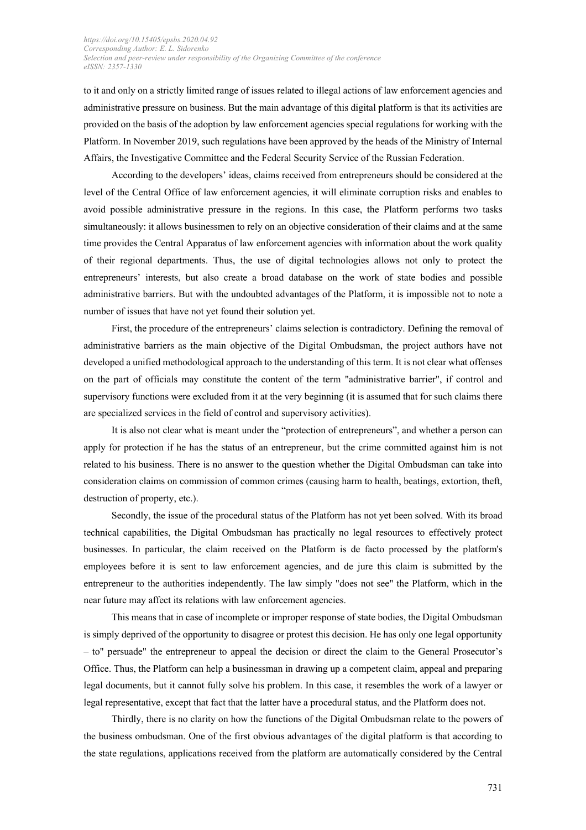to it and only on a strictly limited range of issues related to illegal actions of law enforcement agencies and administrative pressure on business. But the main advantage of this digital platform is that its activities are provided on the basis of the adoption by law enforcement agencies special regulations for working with the Platform. In November 2019, such regulations have been approved by the heads of the Ministry of Internal Affairs, the Investigative Committee and the Federal Security Service of the Russian Federation.

According to the developers' ideas, claims received from entrepreneurs should be considered at the level of the Central Office of law enforcement agencies, it will eliminate corruption risks and enables to avoid possible administrative pressure in the regions. In this case, the Platform performs two tasks simultaneously: it allows businessmen to rely on an objective consideration of their claims and at the same time provides the Central Apparatus of law enforcement agencies with information about the work quality of their regional departments. Thus, the use of digital technologies allows not only to protect the entrepreneurs' interests, but also create a broad database on the work of state bodies and possible administrative barriers. But with the undoubted advantages of the Platform, it is impossible not to note a number of issues that have not yet found their solution yet.

First, the procedure of the entrepreneurs' claims selection is contradictory. Defining the removal of administrative barriers as the main objective of the Digital Ombudsman, the project authors have not developed a unified methodological approach to the understanding of this term. It is not clear what offenses on the part of officials may constitute the content of the term "administrative barrier", if control and supervisory functions were excluded from it at the very beginning (it is assumed that for such claims there are specialized services in the field of control and supervisory activities).

It is also not clear what is meant under the "protection of entrepreneurs", and whether a person can apply for protection if he has the status of an entrepreneur, but the crime committed against him is not related to his business. There is no answer to the question whether the Digital Ombudsman can take into consideration claims on commission of common crimes (causing harm to health, beatings, extortion, theft, destruction of property, etc.).

Secondly, the issue of the procedural status of the Platform has not yet been solved. With its broad technical capabilities, the Digital Ombudsman has practically no legal resources to effectively protect businesses. In particular, the claim received on the Platform is de facto processed by the platform's employees before it is sent to law enforcement agencies, and de jure this claim is submitted by the entrepreneur to the authorities independently. The law simply "does not see" the Platform, which in the near future may affect its relations with law enforcement agencies.

This means that in case of incomplete or improper response of state bodies, the Digital Ombudsman is simply deprived of the opportunity to disagree or protest this decision. He has only one legal opportunity – to" persuade" the entrepreneur to appeal the decision or direct the claim to the General Prosecutor's Office. Thus, the Platform can help a businessman in drawing up a competent claim, appeal and preparing legal documents, but it cannot fully solve his problem. In this case, it resembles the work of a lawyer or legal representative, except that fact that the latter have a procedural status, and the Platform does not.

Thirdly, there is no clarity on how the functions of the Digital Ombudsman relate to the powers of the business ombudsman. One of the first obvious advantages of the digital platform is that according to the state regulations, applications received from the platform are automatically considered by the Central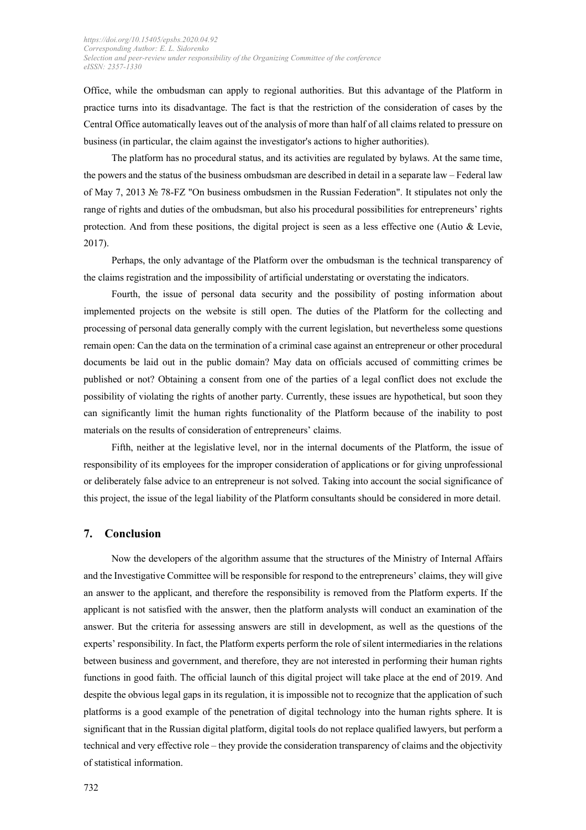Office, while the ombudsman can apply to regional authorities. But this advantage of the Platform in practice turns into its disadvantage. The fact is that the restriction of the consideration of cases by the Central Office automatically leaves out of the analysis of more than half of all claims related to pressure on business (in particular, the claim against the investigator's actions to higher authorities).

The platform has no procedural status, and its activities are regulated by bylaws. At the same time, the powers and the status of the business ombudsman are described in detail in a separate law – Federal law of May 7, 2013 № 78-FZ "On business ombudsmen in the Russian Federation". It stipulates not only the range of rights and duties of the ombudsman, but also his procedural possibilities for entrepreneurs' rights protection. And from these positions, the digital project is seen as a less effective one (Autio  $\&$  Levie, 2017).

Perhaps, the only advantage of the Platform over the ombudsman is the technical transparency of the claims registration and the impossibility of artificial understating or overstating the indicators.

Fourth, the issue of personal data security and the possibility of posting information about implemented projects on the website is still open. The duties of the Platform for the collecting and processing of personal data generally comply with the current legislation, but nevertheless some questions remain open: Can the data on the termination of a criminal case against an entrepreneur or other procedural documents be laid out in the public domain? May data on officials accused of committing crimes be published or not? Obtaining a consent from one of the parties of a legal conflict does not exclude the possibility of violating the rights of another party. Currently, these issues are hypothetical, but soon they can significantly limit the human rights functionality of the Platform because of the inability to post materials on the results of consideration of entrepreneurs' claims.

Fifth, neither at the legislative level, nor in the internal documents of the Platform, the issue of responsibility of its employees for the improper consideration of applications or for giving unprofessional or deliberately false advice to an entrepreneur is not solved. Taking into account the social significance of this project, the issue of the legal liability of the Platform consultants should be considered in more detail.

## **7. Conclusion**

Now the developers of the algorithm assume that the structures of the Ministry of Internal Affairs and the Investigative Committee will be responsible for respond to the entrepreneurs' claims, they will give an answer to the applicant, and therefore the responsibility is removed from the Platform experts. If the applicant is not satisfied with the answer, then the platform analysts will conduct an examination of the answer. But the criteria for assessing answers are still in development, as well as the questions of the experts' responsibility. In fact, the Platform experts perform the role of silent intermediaries in the relations between business and government, and therefore, they are not interested in performing their human rights functions in good faith. The official launch of this digital project will take place at the end of 2019. And despite the obvious legal gaps in its regulation, it is impossible not to recognize that the application of such platforms is a good example of the penetration of digital technology into the human rights sphere. It is significant that in the Russian digital platform, digital tools do not replace qualified lawyers, but perform a technical and very effective role – they provide the consideration transparency of claims and the objectivity of statistical information.